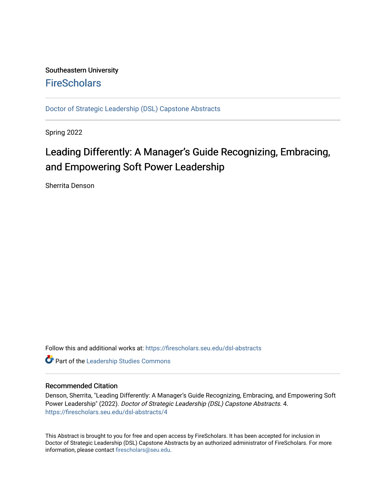# Southeastern University **FireScholars**

[Doctor of Strategic Leadership \(DSL\) Capstone Abstracts](https://firescholars.seu.edu/dsl-abstracts) 

Spring 2022

# Leading Differently: A Manager's Guide Recognizing, Embracing, and Empowering Soft Power Leadership

Sherrita Denson

Follow this and additional works at: [https://firescholars.seu.edu/dsl-abstracts](https://firescholars.seu.edu/dsl-abstracts?utm_source=firescholars.seu.edu%2Fdsl-abstracts%2F4&utm_medium=PDF&utm_campaign=PDFCoverPages) 

**Part of the Leadership Studies Commons** 

#### Recommended Citation

Denson, Sherrita, "Leading Differently: A Manager's Guide Recognizing, Embracing, and Empowering Soft Power Leadership" (2022). Doctor of Strategic Leadership (DSL) Capstone Abstracts. 4. [https://firescholars.seu.edu/dsl-abstracts/4](https://firescholars.seu.edu/dsl-abstracts/4?utm_source=firescholars.seu.edu%2Fdsl-abstracts%2F4&utm_medium=PDF&utm_campaign=PDFCoverPages) 

This Abstract is brought to you for free and open access by FireScholars. It has been accepted for inclusion in Doctor of Strategic Leadership (DSL) Capstone Abstracts by an authorized administrator of FireScholars. For more information, please contact [firescholars@seu.edu](mailto:firescholars@seu.edu).